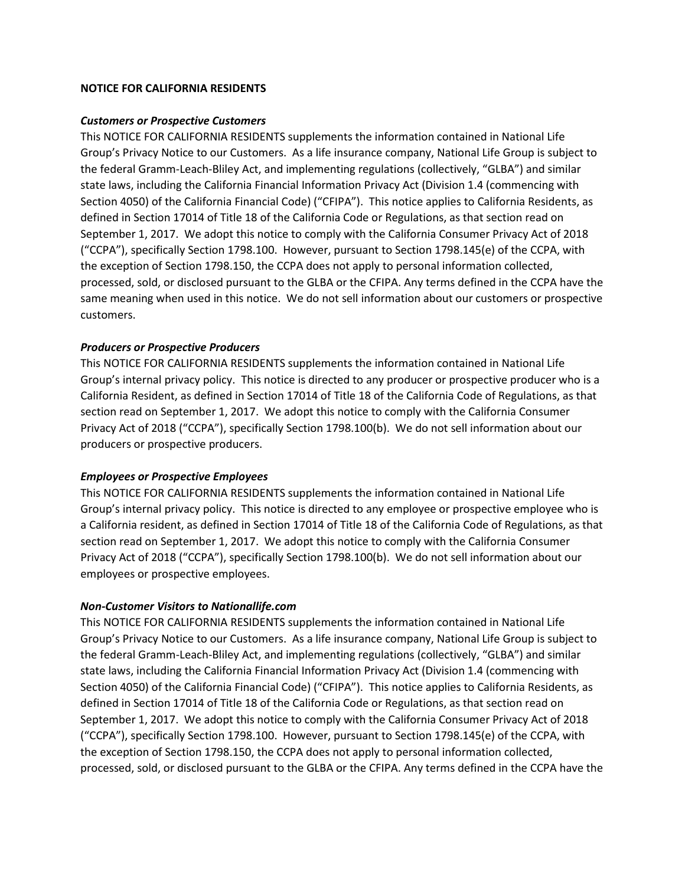#### **NOTICE FOR CALIFORNIA RESIDENTS**

#### *Customers or Prospective Customers*

This NOTICE FOR CALIFORNIA RESIDENTS supplements the information contained in National Life Group's Privacy Notice to our Customers. As a life insurance company, National Life Group is subject to the federal Gramm-Leach-Bliley Act, and implementing regulations (collectively, "GLBA") and similar state laws, including the California Financial Information Privacy Act (Division 1.4 (commencing with Section 4050) of the California Financial Code) ("CFIPA"). This notice applies to California Residents, as defined in Section 17014 of Title 18 of the California Code or Regulations, as that section read on September 1, 2017. We adopt this notice to comply with the California Consumer Privacy Act of 2018 ("CCPA"), specifically Section 1798.100. However, pursuant to Section 1798.145(e) of the CCPA, with the exception of Section 1798.150, the CCPA does not apply to personal information collected, processed, sold, or disclosed pursuant to the GLBA or the CFIPA. Any terms defined in the CCPA have the same meaning when used in this notice. We do not sell information about our customers or prospective customers.

### *Producers or Prospective Producers*

This NOTICE FOR CALIFORNIA RESIDENTS supplements the information contained in National Life Group's internal privacy policy. This notice is directed to any producer or prospective producer who is a California Resident, as defined in Section 17014 of Title 18 of the California Code of Regulations, as that section read on September 1, 2017. We adopt this notice to comply with the California Consumer Privacy Act of 2018 ("CCPA"), specifically Section 1798.100(b). We do not sell information about our producers or prospective producers.

#### *Employees or Prospective Employees*

This NOTICE FOR CALIFORNIA RESIDENTS supplements the information contained in National Life Group's internal privacy policy. This notice is directed to any employee or prospective employee who is a California resident, as defined in Section 17014 of Title 18 of the California Code of Regulations, as that section read on September 1, 2017. We adopt this notice to comply with the California Consumer Privacy Act of 2018 ("CCPA"), specifically Section 1798.100(b). We do not sell information about our employees or prospective employees.

#### *Non-Customer Visitors to Nationallife.com*

This NOTICE FOR CALIFORNIA RESIDENTS supplements the information contained in National Life Group's Privacy Notice to our Customers. As a life insurance company, National Life Group is subject to the federal Gramm-Leach-Bliley Act, and implementing regulations (collectively, "GLBA") and similar state laws, including the California Financial Information Privacy Act (Division 1.4 (commencing with Section 4050) of the California Financial Code) ("CFIPA"). This notice applies to California Residents, as defined in Section 17014 of Title 18 of the California Code or Regulations, as that section read on September 1, 2017. We adopt this notice to comply with the California Consumer Privacy Act of 2018 ("CCPA"), specifically Section 1798.100. However, pursuant to Section 1798.145(e) of the CCPA, with the exception of Section 1798.150, the CCPA does not apply to personal information collected, processed, sold, or disclosed pursuant to the GLBA or the CFIPA. Any terms defined in the CCPA have the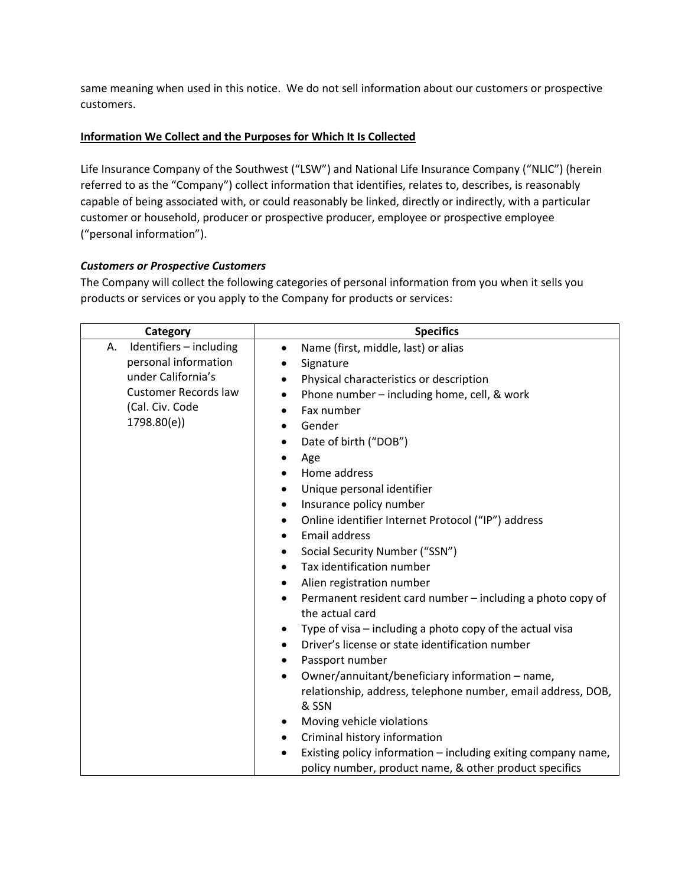same meaning when used in this notice. We do not sell information about our customers or prospective customers.

# **Information We Collect and the Purposes for Which It Is Collected**

Life Insurance Company of the Southwest ("LSW") and National Life Insurance Company ("NLIC") (herein referred to as the "Company") collect information that identifies, relates to, describes, is reasonably capable of being associated with, or could reasonably be linked, directly or indirectly, with a particular customer or household, producer or prospective producer, employee or prospective employee ("personal information").

# *Customers or Prospective Customers*

The Company will collect the following categories of personal information from you when it sells you products or services or you apply to the Company for products or services:

| Category                      | <b>Specifics</b>                                                                           |
|-------------------------------|--------------------------------------------------------------------------------------------|
| Identifiers - including<br>А. | Name (first, middle, last) or alias<br>$\bullet$                                           |
| personal information          | Signature<br>$\bullet$                                                                     |
| under California's            | Physical characteristics or description                                                    |
| <b>Customer Records law</b>   | Phone number - including home, cell, & work<br>$\bullet$                                   |
| (Cal. Civ. Code               | Fax number<br>$\bullet$                                                                    |
| 1798.80(e))                   | Gender<br>$\bullet$                                                                        |
|                               | Date of birth ("DOB")                                                                      |
|                               | Age<br>٠                                                                                   |
|                               | Home address                                                                               |
|                               | Unique personal identifier<br>$\bullet$                                                    |
|                               | Insurance policy number<br>$\bullet$                                                       |
|                               | Online identifier Internet Protocol ("IP") address                                         |
|                               | Email address                                                                              |
|                               | Social Security Number ("SSN")<br>٠                                                        |
|                               | Tax identification number<br>$\bullet$                                                     |
|                               | Alien registration number<br>٠                                                             |
|                               | Permanent resident card number - including a photo copy of<br>$\bullet$<br>the actual card |
|                               | Type of visa – including a photo copy of the actual visa                                   |
|                               | Driver's license or state identification number                                            |
|                               | Passport number<br>٠                                                                       |
|                               | Owner/annuitant/beneficiary information - name,<br>$\bullet$                               |
|                               | relationship, address, telephone number, email address, DOB,<br>& SSN                      |
|                               | Moving vehicle violations<br>٠                                                             |
|                               | Criminal history information<br>٠                                                          |
|                               | Existing policy information - including exiting company name,<br>٠                         |
|                               | policy number, product name, & other product specifics                                     |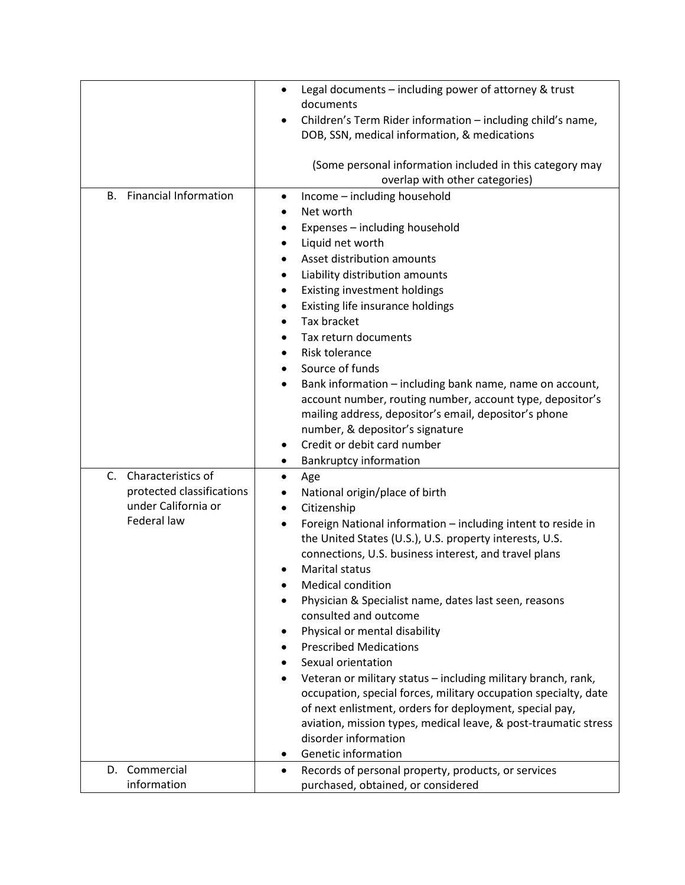| <b>Financial Information</b><br>В.                                                       | Legal documents - including power of attorney & trust<br>$\bullet$<br>documents<br>Children's Term Rider information - including child's name,<br>DOB, SSN, medical information, & medications<br>(Some personal information included in this category may<br>overlap with other categories)<br>Income - including household<br>٠<br>Net worth                                                                                                                                                                                                                                                                                                                                                                                                                                                                       |
|------------------------------------------------------------------------------------------|----------------------------------------------------------------------------------------------------------------------------------------------------------------------------------------------------------------------------------------------------------------------------------------------------------------------------------------------------------------------------------------------------------------------------------------------------------------------------------------------------------------------------------------------------------------------------------------------------------------------------------------------------------------------------------------------------------------------------------------------------------------------------------------------------------------------|
|                                                                                          | Expenses - including household<br>٠<br>Liquid net worth<br>$\bullet$<br>Asset distribution amounts<br>Liability distribution amounts<br>Existing investment holdings<br>٠<br>Existing life insurance holdings<br>٠<br>Tax bracket<br>$\bullet$<br>Tax return documents<br><b>Risk tolerance</b><br>Source of funds<br>Bank information - including bank name, name on account,<br>$\bullet$<br>account number, routing number, account type, depositor's<br>mailing address, depositor's email, depositor's phone<br>number, & depositor's signature<br>Credit or debit card number<br>٠<br><b>Bankruptcy information</b>                                                                                                                                                                                            |
| C. Characteristics of<br>protected classifications<br>under California or<br>Federal law | Age<br>٠<br>National origin/place of birth<br>٠<br>Citizenship<br>$\bullet$<br>Foreign National information - including intent to reside in<br>٠<br>the United States (U.S.), U.S. property interests, U.S.<br>connections, U.S. business interest, and travel plans<br><b>Marital status</b><br><b>Medical condition</b><br>Physician & Specialist name, dates last seen, reasons<br>consulted and outcome<br>Physical or mental disability<br><b>Prescribed Medications</b><br>Sexual orientation<br>Veteran or military status - including military branch, rank,<br>occupation, special forces, military occupation specialty, date<br>of next enlistment, orders for deployment, special pay,<br>aviation, mission types, medical leave, & post-traumatic stress<br>disorder information<br>Genetic information |
| D. Commercial<br>information                                                             | Records of personal property, products, or services<br>purchased, obtained, or considered                                                                                                                                                                                                                                                                                                                                                                                                                                                                                                                                                                                                                                                                                                                            |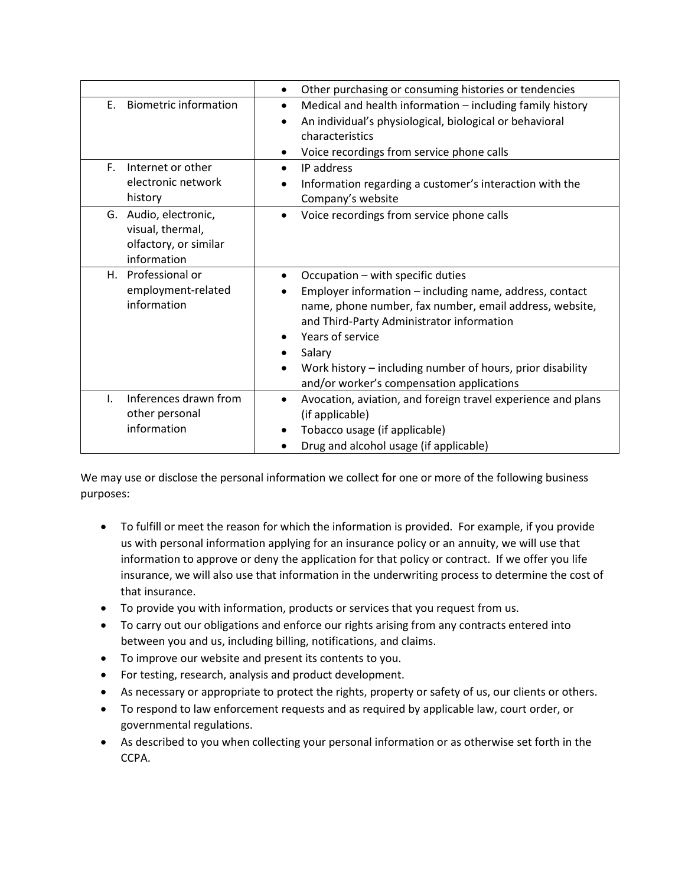|                                                                                                                                               | Other purchasing or consuming histories or tendencies<br>٠                                                                                                                                                                                                                                                                                         |
|-----------------------------------------------------------------------------------------------------------------------------------------------|----------------------------------------------------------------------------------------------------------------------------------------------------------------------------------------------------------------------------------------------------------------------------------------------------------------------------------------------------|
| <b>Biometric information</b><br>Ε.                                                                                                            | Medical and health information - including family history<br>٠<br>An individual's physiological, biological or behavioral<br>$\bullet$<br>characteristics<br>Voice recordings from service phone calls<br>٠                                                                                                                                        |
| F.<br>Internet or other<br>electronic network<br>history<br>G. Audio, electronic,<br>visual, thermal,<br>olfactory, or similar<br>information | IP address<br>$\bullet$<br>Information regarding a customer's interaction with the<br>Company's website<br>Voice recordings from service phone calls                                                                                                                                                                                               |
| H. Professional or<br>employment-related<br>information                                                                                       | Occupation - with specific duties<br>Employer information - including name, address, contact<br>name, phone number, fax number, email address, website,<br>and Third-Party Administrator information<br>Years of service<br>Salary<br>Work history - including number of hours, prior disability<br>٠<br>and/or worker's compensation applications |
| Inferences drawn from<br>I.<br>other personal<br>information                                                                                  | Avocation, aviation, and foreign travel experience and plans<br>$\bullet$<br>(if applicable)<br>Tobacco usage (if applicable)<br>Drug and alcohol usage (if applicable)                                                                                                                                                                            |

We may use or disclose the personal information we collect for one or more of the following business purposes:

- To fulfill or meet the reason for which the information is provided. For example, if you provide us with personal information applying for an insurance policy or an annuity, we will use that information to approve or deny the application for that policy or contract. If we offer you life insurance, we will also use that information in the underwriting process to determine the cost of that insurance.
- To provide you with information, products or services that you request from us.
- To carry out our obligations and enforce our rights arising from any contracts entered into between you and us, including billing, notifications, and claims.
- To improve our website and present its contents to you.
- For testing, research, analysis and product development.
- As necessary or appropriate to protect the rights, property or safety of us, our clients or others.
- To respond to law enforcement requests and as required by applicable law, court order, or governmental regulations.
- As described to you when collecting your personal information or as otherwise set forth in the CCPA.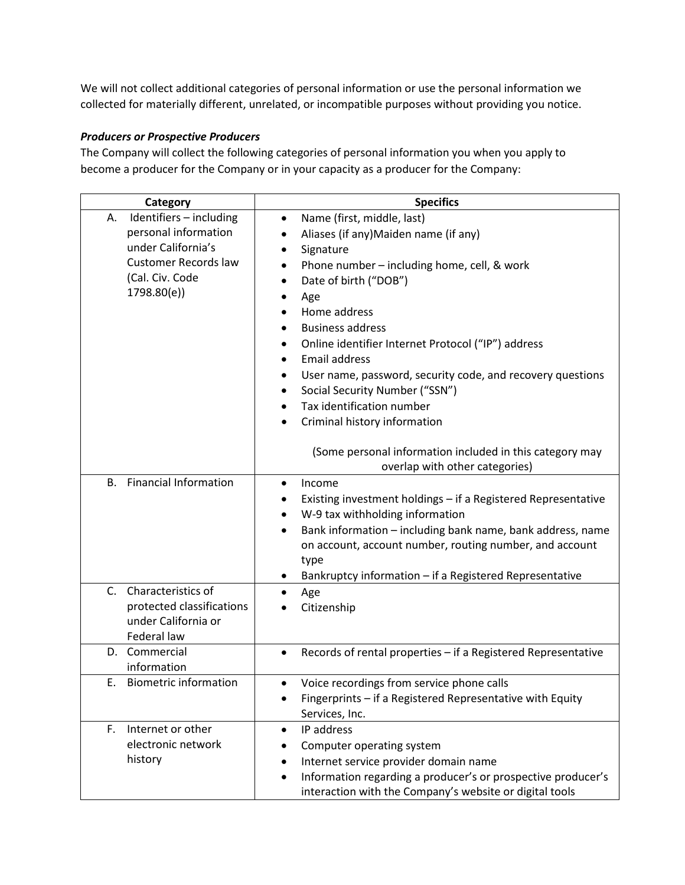We will not collect additional categories of personal information or use the personal information we collected for materially different, unrelated, or incompatible purposes without providing you notice.

## *Producers or Prospective Producers*

The Company will collect the following categories of personal information you when you apply to become a producer for the Company or in your capacity as a producer for the Company:

| Category                                                                                                                                     | <b>Specifics</b>                                                                                                                                                                                                                                                                                                                                                                                                                                                                                                                                                                       |
|----------------------------------------------------------------------------------------------------------------------------------------------|----------------------------------------------------------------------------------------------------------------------------------------------------------------------------------------------------------------------------------------------------------------------------------------------------------------------------------------------------------------------------------------------------------------------------------------------------------------------------------------------------------------------------------------------------------------------------------------|
| Identifiers - including<br>А.<br>personal information<br>under California's<br><b>Customer Records law</b><br>(Cal. Civ. Code<br>1798.80(e)) | Name (first, middle, last)<br>$\bullet$<br>Aliases (if any)Maiden name (if any)<br>Signature<br>Phone number - including home, cell, & work<br>Date of birth ("DOB")<br>$\bullet$<br>Age<br>Home address<br><b>Business address</b><br>Online identifier Internet Protocol ("IP") address<br><b>Email address</b><br>User name, password, security code, and recovery questions<br>٠<br>Social Security Number ("SSN")<br>Tax identification number<br>Criminal history information<br>٠<br>(Some personal information included in this category may<br>overlap with other categories) |
| <b>Financial Information</b><br><b>B.</b>                                                                                                    | Income<br>$\bullet$<br>Existing investment holdings - if a Registered Representative<br>٠<br>W-9 tax withholding information<br>٠<br>Bank information - including bank name, bank address, name<br>$\bullet$<br>on account, account number, routing number, and account<br>type<br>Bankruptcy information - if a Registered Representative                                                                                                                                                                                                                                             |
| $C_{1}$<br>Characteristics of<br>protected classifications<br>under California or<br>Federal law                                             | Age<br>Citizenship                                                                                                                                                                                                                                                                                                                                                                                                                                                                                                                                                                     |
| D. Commercial<br>information                                                                                                                 | Records of rental properties - if a Registered Representative<br>$\bullet$                                                                                                                                                                                                                                                                                                                                                                                                                                                                                                             |
| <b>Biometric information</b><br>Ε.                                                                                                           | Voice recordings from service phone calls<br>$\bullet$<br>Fingerprints - if a Registered Representative with Equity<br>Services, Inc.                                                                                                                                                                                                                                                                                                                                                                                                                                                  |
| F.<br>Internet or other<br>electronic network<br>history                                                                                     | IP address<br>$\bullet$<br>Computer operating system<br>Internet service provider domain name<br>Information regarding a producer's or prospective producer's<br>$\bullet$<br>interaction with the Company's website or digital tools                                                                                                                                                                                                                                                                                                                                                  |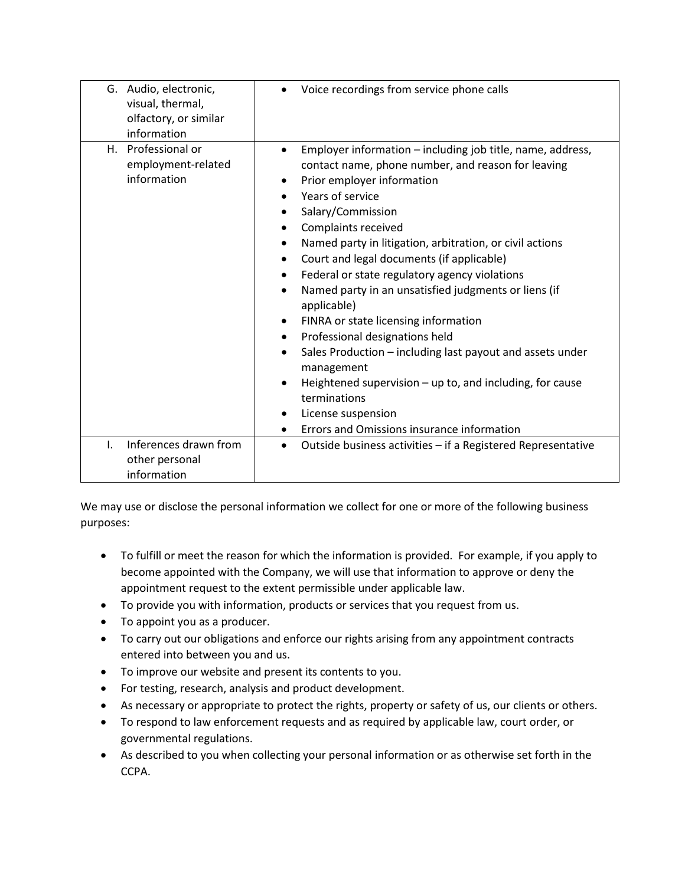| G. Audio, electronic,<br>visual, thermal,<br>olfactory, or similar<br>information | Voice recordings from service phone calls                                                                                                                                                                                                                                                                                                                                                                                                                                                                                                                                                                                                                                                                                                                                                                                    |
|-----------------------------------------------------------------------------------|------------------------------------------------------------------------------------------------------------------------------------------------------------------------------------------------------------------------------------------------------------------------------------------------------------------------------------------------------------------------------------------------------------------------------------------------------------------------------------------------------------------------------------------------------------------------------------------------------------------------------------------------------------------------------------------------------------------------------------------------------------------------------------------------------------------------------|
| H. Professional or<br>employment-related<br>information                           | Employer information – including job title, name, address,<br>$\bullet$<br>contact name, phone number, and reason for leaving<br>Prior employer information<br>Years of service<br>Salary/Commission<br>$\bullet$<br>Complaints received<br>$\bullet$<br>Named party in litigation, arbitration, or civil actions<br>$\bullet$<br>Court and legal documents (if applicable)<br>Federal or state regulatory agency violations<br>Named party in an unsatisfied judgments or liens (if<br>applicable)<br>FINRA or state licensing information<br>Professional designations held<br>$\bullet$<br>Sales Production – including last payout and assets under<br>٠<br>management<br>Heightened supervision $-$ up to, and including, for cause<br>terminations<br>License suspension<br>Errors and Omissions insurance information |
| Inferences drawn from<br>L.<br>other personal<br>information                      | Outside business activities - if a Registered Representative<br>$\bullet$                                                                                                                                                                                                                                                                                                                                                                                                                                                                                                                                                                                                                                                                                                                                                    |

We may use or disclose the personal information we collect for one or more of the following business purposes:

- To fulfill or meet the reason for which the information is provided. For example, if you apply to become appointed with the Company, we will use that information to approve or deny the appointment request to the extent permissible under applicable law.
- To provide you with information, products or services that you request from us.
- To appoint you as a producer.
- To carry out our obligations and enforce our rights arising from any appointment contracts entered into between you and us.
- To improve our website and present its contents to you.
- For testing, research, analysis and product development.
- As necessary or appropriate to protect the rights, property or safety of us, our clients or others.
- To respond to law enforcement requests and as required by applicable law, court order, or governmental regulations.
- As described to you when collecting your personal information or as otherwise set forth in the CCPA.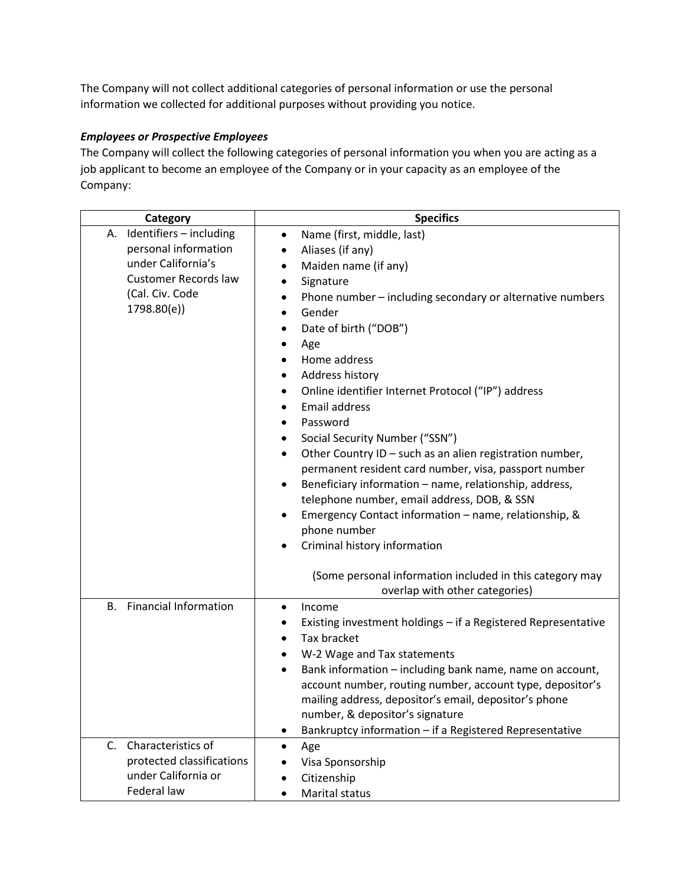The Company will not collect additional categories of personal information or use the personal information we collected for additional purposes without providing you notice.

## *Employees or Prospective Employees*

The Company will collect the following categories of personal information you when you are acting as a job applicant to become an employee of the Company or in your capacity as an employee of the Company:

| Category                                                                                                                                     | <b>Specifics</b>                                                                                                                                                                                                                                                                                                                                                                                                                                                                                                                                                                                                                                                                                                                                                                                                                                                                               |
|----------------------------------------------------------------------------------------------------------------------------------------------|------------------------------------------------------------------------------------------------------------------------------------------------------------------------------------------------------------------------------------------------------------------------------------------------------------------------------------------------------------------------------------------------------------------------------------------------------------------------------------------------------------------------------------------------------------------------------------------------------------------------------------------------------------------------------------------------------------------------------------------------------------------------------------------------------------------------------------------------------------------------------------------------|
| Identifiers - including<br>А.<br>personal information<br>under California's<br><b>Customer Records law</b><br>(Cal. Civ. Code<br>1798.80(e)) | Name (first, middle, last)<br>$\bullet$<br>Aliases (if any)<br>Maiden name (if any)<br>Signature<br>٠<br>Phone number - including secondary or alternative numbers<br>$\bullet$<br>Gender<br>Date of birth ("DOB")<br>٠<br>Age<br>٠<br>Home address<br>Address history<br>٠<br>Online identifier Internet Protocol ("IP") address<br>$\bullet$<br>Email address<br>Password<br>$\bullet$<br>Social Security Number ("SSN")<br>٠<br>Other Country ID - such as an alien registration number,<br>$\bullet$<br>permanent resident card number, visa, passport number<br>Beneficiary information - name, relationship, address,<br>$\bullet$<br>telephone number, email address, DOB, & SSN<br>Emergency Contact information - name, relationship, &<br>phone number<br>Criminal history information<br>(Some personal information included in this category may<br>overlap with other categories) |
| <b>Financial Information</b><br><b>B.</b>                                                                                                    | Income<br>٠<br>Existing investment holdings - if a Registered Representative<br>٠<br>Tax bracket<br>$\bullet$<br>W-2 Wage and Tax statements<br>٠<br>Bank information - including bank name, name on account,<br>$\bullet$<br>account number, routing number, account type, depositor's<br>mailing address, depositor's email, depositor's phone<br>number, & depositor's signature<br>Bankruptcy information - if a Registered Representative                                                                                                                                                                                                                                                                                                                                                                                                                                                 |
| Characteristics of<br>C.<br>protected classifications<br>under California or<br>Federal law                                                  | Age<br>$\bullet$<br>Visa Sponsorship<br>Citizenship<br>Marital status                                                                                                                                                                                                                                                                                                                                                                                                                                                                                                                                                                                                                                                                                                                                                                                                                          |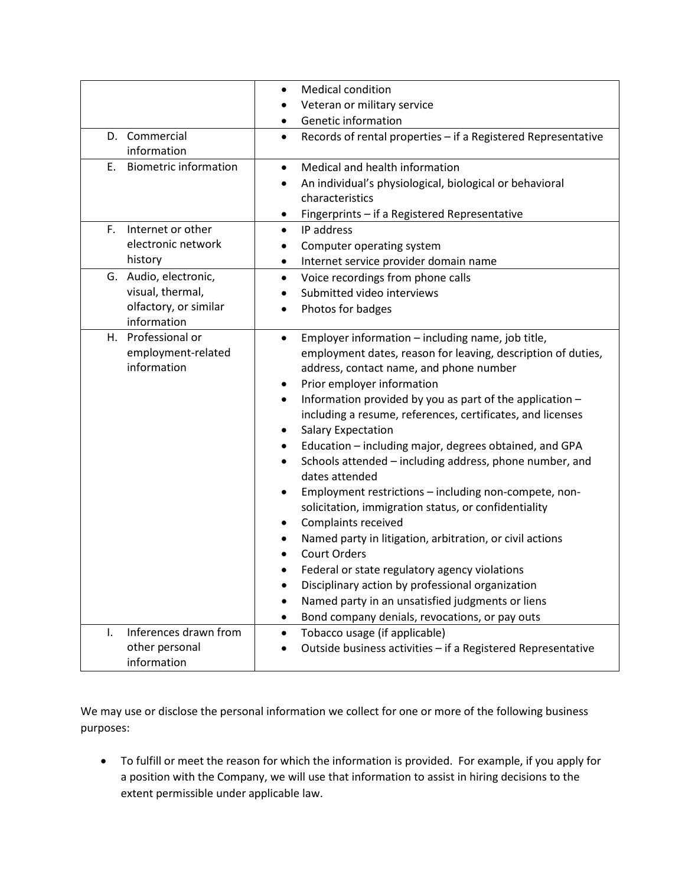|                                                                                   | <b>Medical condition</b><br>٠                                                                                                                                                                                                                                                                                                                                                                                                                                                                                                                                                                                                                                                                                                                                                                                                                                                                                                                                                                  |
|-----------------------------------------------------------------------------------|------------------------------------------------------------------------------------------------------------------------------------------------------------------------------------------------------------------------------------------------------------------------------------------------------------------------------------------------------------------------------------------------------------------------------------------------------------------------------------------------------------------------------------------------------------------------------------------------------------------------------------------------------------------------------------------------------------------------------------------------------------------------------------------------------------------------------------------------------------------------------------------------------------------------------------------------------------------------------------------------|
|                                                                                   | Veteran or military service                                                                                                                                                                                                                                                                                                                                                                                                                                                                                                                                                                                                                                                                                                                                                                                                                                                                                                                                                                    |
|                                                                                   | Genetic information                                                                                                                                                                                                                                                                                                                                                                                                                                                                                                                                                                                                                                                                                                                                                                                                                                                                                                                                                                            |
| D. Commercial<br>information                                                      | Records of rental properties - if a Registered Representative<br>$\bullet$                                                                                                                                                                                                                                                                                                                                                                                                                                                                                                                                                                                                                                                                                                                                                                                                                                                                                                                     |
| <b>Biometric information</b><br>Ε.                                                | Medical and health information<br>$\bullet$<br>An individual's physiological, biological or behavioral<br>characteristics<br>Fingerprints - if a Registered Representative<br>٠                                                                                                                                                                                                                                                                                                                                                                                                                                                                                                                                                                                                                                                                                                                                                                                                                |
| Internet or other<br>F.<br>electronic network<br>history                          | IP address<br>$\bullet$<br>Computer operating system<br>٠<br>Internet service provider domain name<br>٠                                                                                                                                                                                                                                                                                                                                                                                                                                                                                                                                                                                                                                                                                                                                                                                                                                                                                        |
| G. Audio, electronic,<br>visual, thermal,<br>olfactory, or similar<br>information | Voice recordings from phone calls<br>$\bullet$<br>Submitted video interviews<br>$\bullet$<br>Photos for badges                                                                                                                                                                                                                                                                                                                                                                                                                                                                                                                                                                                                                                                                                                                                                                                                                                                                                 |
| H. Professional or<br>employment-related<br>information                           | Employer information - including name, job title,<br>$\bullet$<br>employment dates, reason for leaving, description of duties,<br>address, contact name, and phone number<br>Prior employer information<br>٠<br>Information provided by you as part of the application -<br>$\bullet$<br>including a resume, references, certificates, and licenses<br><b>Salary Expectation</b><br>٠<br>Education - including major, degrees obtained, and GPA<br>٠<br>Schools attended - including address, phone number, and<br>dates attended<br>Employment restrictions - including non-compete, non-<br>٠<br>solicitation, immigration status, or confidentiality<br>Complaints received<br>٠<br>Named party in litigation, arbitration, or civil actions<br>$\bullet$<br><b>Court Orders</b><br>Federal or state regulatory agency violations<br>Disciplinary action by professional organization<br>Named party in an unsatisfied judgments or liens<br>Bond company denials, revocations, or pay outs |
| Inferences drawn from<br>I.<br>other personal<br>information                      | Tobacco usage (if applicable)<br>٠<br>Outside business activities - if a Registered Representative                                                                                                                                                                                                                                                                                                                                                                                                                                                                                                                                                                                                                                                                                                                                                                                                                                                                                             |

We may use or disclose the personal information we collect for one or more of the following business purposes:

• To fulfill or meet the reason for which the information is provided. For example, if you apply for a position with the Company, we will use that information to assist in hiring decisions to the extent permissible under applicable law.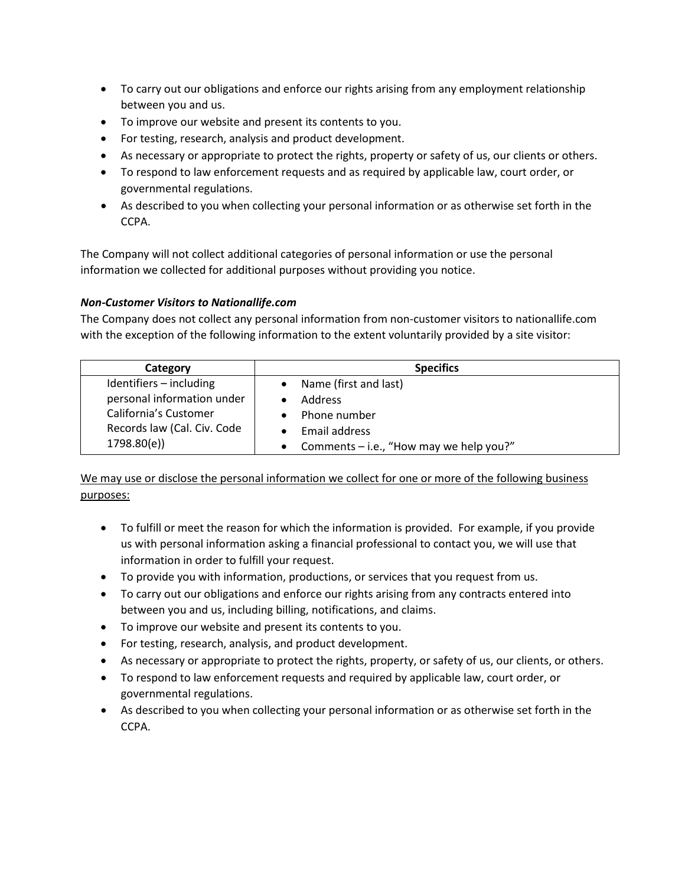- To carry out our obligations and enforce our rights arising from any employment relationship between you and us.
- To improve our website and present its contents to you.
- For testing, research, analysis and product development.
- As necessary or appropriate to protect the rights, property or safety of us, our clients or others.
- To respond to law enforcement requests and as required by applicable law, court order, or governmental regulations.
- As described to you when collecting your personal information or as otherwise set forth in the CCPA.

The Company will not collect additional categories of personal information or use the personal information we collected for additional purposes without providing you notice.

### *Non-Customer Visitors to Nationallife.com*

The Company does not collect any personal information from non-customer visitors to nationallife.com with the exception of the following information to the extent voluntarily provided by a site visitor:

| Category                    | <b>Specifics</b>                        |
|-----------------------------|-----------------------------------------|
| Identifiers - including     | Name (first and last)                   |
| personal information under  | <b>Address</b>                          |
| California's Customer       | Phone number                            |
| Records law (Cal. Civ. Code | Email address                           |
| 1798.80(e)                  | Comments - i.e., "How may we help you?" |

We may use or disclose the personal information we collect for one or more of the following business purposes:

- To fulfill or meet the reason for which the information is provided. For example, if you provide us with personal information asking a financial professional to contact you, we will use that information in order to fulfill your request.
- To provide you with information, productions, or services that you request from us.
- To carry out our obligations and enforce our rights arising from any contracts entered into between you and us, including billing, notifications, and claims.
- To improve our website and present its contents to you.
- For testing, research, analysis, and product development.
- As necessary or appropriate to protect the rights, property, or safety of us, our clients, or others.
- To respond to law enforcement requests and required by applicable law, court order, or governmental regulations.
- As described to you when collecting your personal information or as otherwise set forth in the CCPA.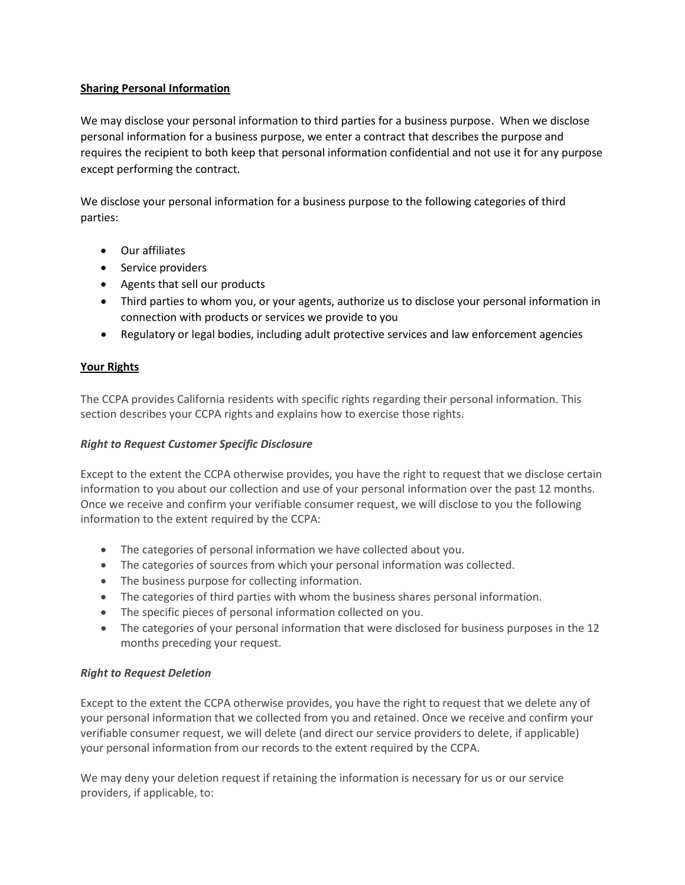### **Sharing Personal Information**

We may disclose your personal information to third parties for a business purpose. When we disclose personal information for a business purpose, we enter a contract that describes the purpose and requires the recipient to both keep that personal information confidential and not use it for any purpose except performing the contract.

We disclose your personal information for a business purpose to the following categories of third parties:

- Our affiliates
- Service providers
- Agents that sell our products
- Third parties to whom you, or your agents, authorize us to disclose your personal information in connection with products or services we provide to you
- Regulatory or legal bodies, including adult protective services and law enforcement agencies

### **Your Rights**

The CCPA provides California residents with specific rights regarding their personal information. This section describes your CCPA rights and explains how to exercise those rights.

#### *Right to Request Customer Specific Disclosure*

Except to the extent the CCPA otherwise provides, you have the right to request that we disclose certain information to you about our collection and use of your personal information over the past 12 months. Once we receive and confirm your verifiable consumer request, we will disclose to you the following information to the extent required by the CCPA:

- The categories of personal information we have collected about you.
- The categories of sources from which your personal information was collected.
- The business purpose for collecting information.
- The categories of third parties with whom the business shares personal information.
- The specific pieces of personal information collected on you.
- The categories of your personal information that were disclosed for business purposes in the 12 months preceding your request.

### *Right to Request Deletion*

Except to the extent the CCPA otherwise provides, you have the right to request that we delete any of your personal information that we collected from you and retained. Once we receive and confirm your verifiable consumer request, we will delete (and direct our service providers to delete, if applicable) your personal information from our records to the extent required by the CCPA.

We may deny your deletion request if retaining the information is necessary for us or our service providers, if applicable, to: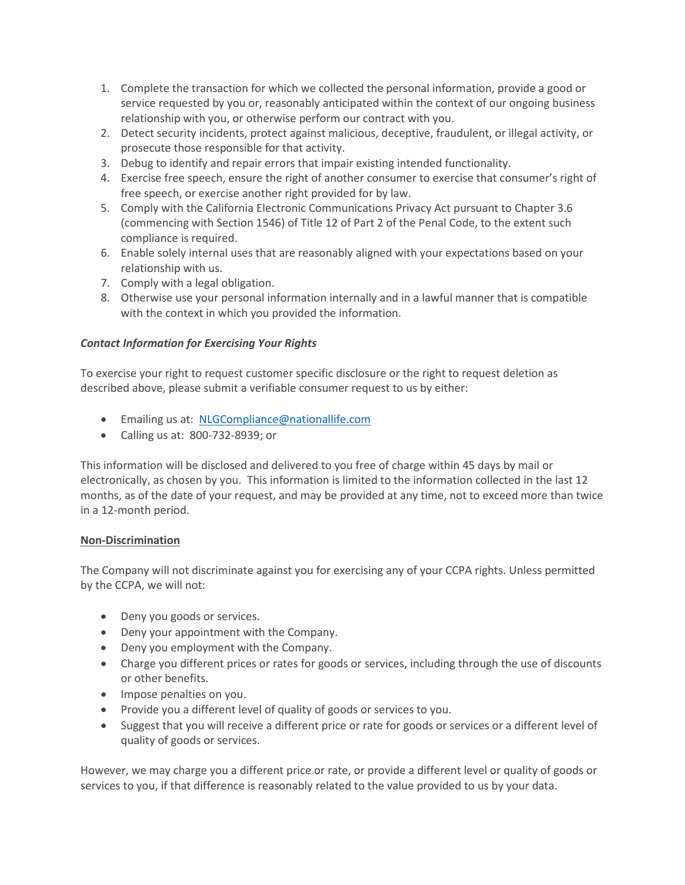- 1. Complete the transaction for which we collected the personal information, provide a good or service requested by you or, reasonably anticipated within the context of our ongoing business relationship with you, or otherwise perform our contract with you.
- 2. Detect security incidents, protect against malicious, deceptive, fraudulent, or illegal activity, or prosecute those responsible for that activity.
- 3. Debug to identify and repair errors that impair existing intended functionality.
- 4. Exercise free speech, ensure the right of another consumer to exercise that consumer's right of free speech, or exercise another right provided for by law.
- 5. Comply with the California Electronic Communications Privacy Act pursuant to Chapter 3.6 (commencing with Section 1546) of Title 12 of Part 2 of the Penal Code, to the extent such compliance is required.
- 6. Enable solely internal uses that are reasonably aligned with your expectations based on your relationship with us.
- 7. Comply with a legal obligation.
- 8. Otherwise use your personal information internally and in a lawful manner that is compatible with the context in which you provided the information.

### *Contact Information for Exercising Your Rights*

To exercise your right to request customer specific disclosure or the right to request deletion as described above, please submit a verifiable consumer request to us by either:

- Emailing us at: [NLGCompliance@nationallife.com](mailto:NLGCompliance@nationallife.com)
- Calling us at: 800-732-8939; or

This information will be disclosed and delivered to you free of charge within 45 days by mail or electronically, as chosen by you. This information is limited to the information collected in the last 12 months, as of the date of your request, and may be provided at any time, not to exceed more than twice in a 12-month period.

#### **Non-Discrimination**

The Company will not discriminate against you for exercising any of your CCPA rights. Unless permitted by the CCPA, we will not:

- Deny you goods or services.
- Deny your appointment with the Company.
- Deny you employment with the Company.
- Charge you different prices or rates for goods or services, including through the use of discounts or other benefits.
- Impose penalties on you.
- Provide you a different level of quality of goods or services to you.
- Suggest that you will receive a different price or rate for goods or services or a different level of quality of goods or services.

However, we may charge you a different price or rate, or provide a different level or quality of goods or services to you, if that difference is reasonably related to the value provided to us by your data.